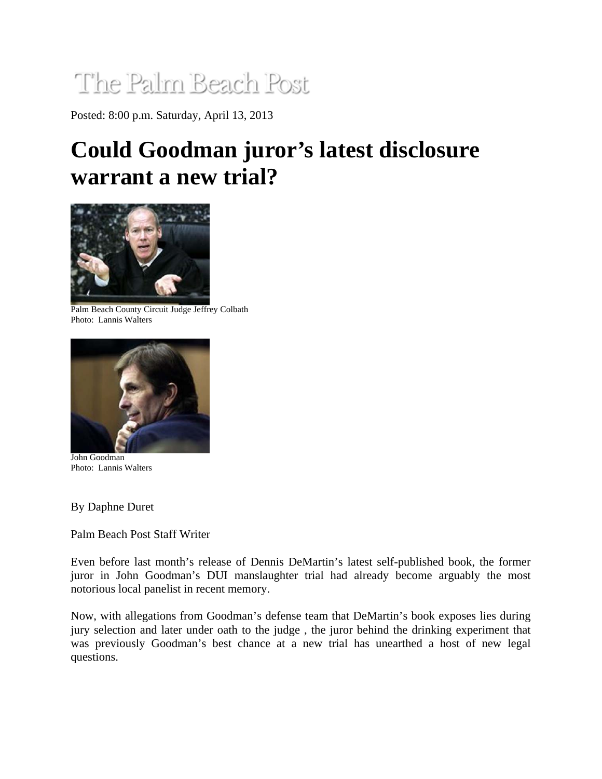## The Palm Beach Post

Posted: 8:00 p.m. Saturday, April 13, 2013

## **Could Goodman juror's latest disclosure warrant a new trial?**



Palm Beach County Circuit Judge Jeffrey Colbath Photo: Lannis Walters



John Goodman Photo: Lannis Walters

By Daphne Duret

Palm Beach Post Staff Writer

Even before last month's release of Dennis DeMartin's latest self-published book, the former juror in John Goodman's DUI manslaughter trial had already become arguably the most notorious local panelist in recent memory.

Now, with allegations from Goodman's defense team that DeMartin's book exposes lies during jury selection and later under oath to the judge , the juror behind the drinking experiment that was previously Goodman's best chance at a new trial has unearthed a host of new legal questions.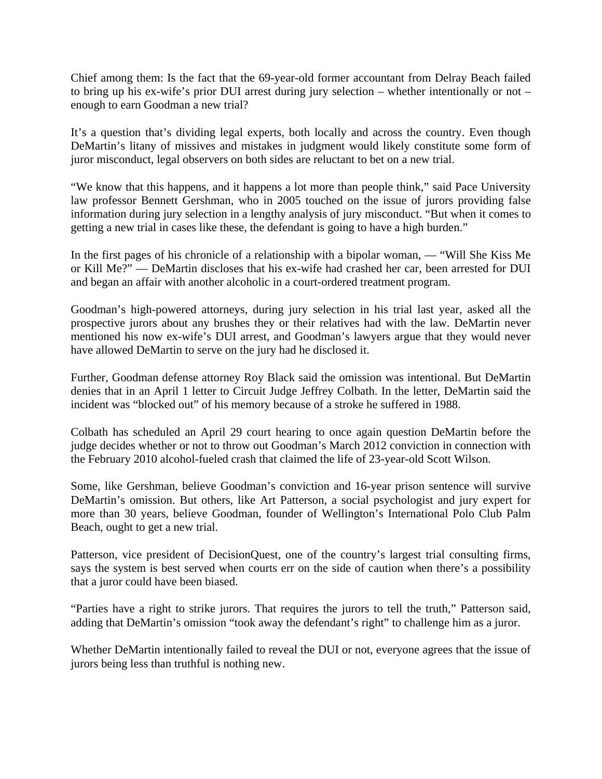Chief among them: Is the fact that the 69-year-old former accountant from Delray Beach failed to bring up his ex-wife's prior DUI arrest during jury selection – whether intentionally or not – enough to earn Goodman a new trial?

It's a question that's dividing legal experts, both locally and across the country. Even though DeMartin's litany of missives and mistakes in judgment would likely constitute some form of juror misconduct, legal observers on both sides are reluctant to bet on a new trial.

"We know that this happens, and it happens a lot more than people think," said Pace University law professor Bennett Gershman, who in 2005 touched on the issue of jurors providing false information during jury selection in a lengthy analysis of jury misconduct. "But when it comes to getting a new trial in cases like these, the defendant is going to have a high burden."

In the first pages of his chronicle of a relationship with a bipolar woman, — "Will She Kiss Me or Kill Me?" — DeMartin discloses that his ex-wife had crashed her car, been arrested for DUI and began an affair with another alcoholic in a court-ordered treatment program.

Goodman's high-powered attorneys, during jury selection in his trial last year, asked all the prospective jurors about any brushes they or their relatives had with the law. DeMartin never mentioned his now ex-wife's DUI arrest, and Goodman's lawyers argue that they would never have allowed DeMartin to serve on the jury had he disclosed it.

Further, Goodman defense attorney Roy Black said the omission was intentional. But DeMartin denies that in an April 1 letter to Circuit Judge Jeffrey Colbath. In the letter, DeMartin said the incident was "blocked out" of his memory because of a stroke he suffered in 1988.

Colbath has scheduled an April 29 court hearing to once again question DeMartin before the judge decides whether or not to throw out Goodman's March 2012 conviction in connection with the February 2010 alcohol-fueled crash that claimed the life of 23-year-old Scott Wilson.

Some, like Gershman, believe Goodman's conviction and 16-year prison sentence will survive DeMartin's omission. But others, like Art Patterson, a social psychologist and jury expert for more than 30 years, believe Goodman, founder of Wellington's International Polo Club Palm Beach, ought to get a new trial.

Patterson, vice president of DecisionQuest, one of the country's largest trial consulting firms, says the system is best served when courts err on the side of caution when there's a possibility that a juror could have been biased.

"Parties have a right to strike jurors. That requires the jurors to tell the truth," Patterson said, adding that DeMartin's omission "took away the defendant's right" to challenge him as a juror.

Whether DeMartin intentionally failed to reveal the DUI or not, everyone agrees that the issue of jurors being less than truthful is nothing new.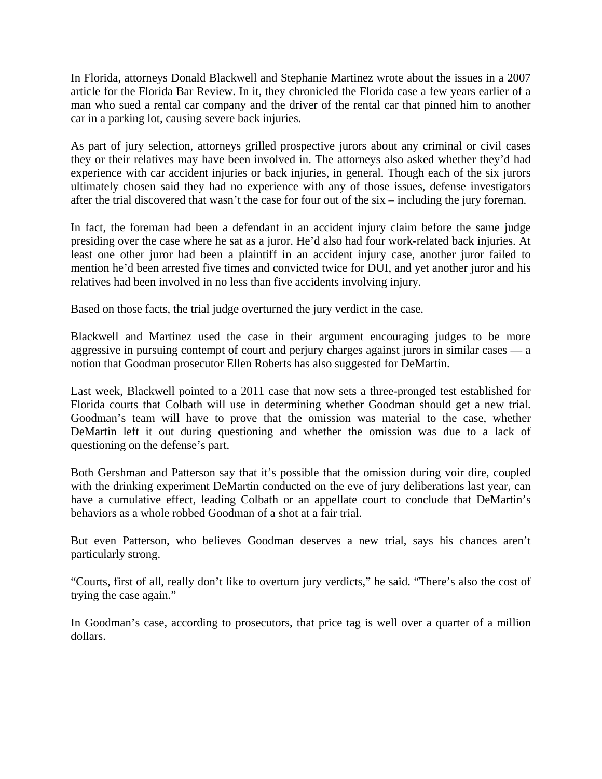In Florida, attorneys Donald Blackwell and Stephanie Martinez wrote about the issues in a 2007 article for the Florida Bar Review. In it, they chronicled the Florida case a few years earlier of a man who sued a rental car company and the driver of the rental car that pinned him to another car in a parking lot, causing severe back injuries.

As part of jury selection, attorneys grilled prospective jurors about any criminal or civil cases they or their relatives may have been involved in. The attorneys also asked whether they'd had experience with car accident injuries or back injuries, in general. Though each of the six jurors ultimately chosen said they had no experience with any of those issues, defense investigators after the trial discovered that wasn't the case for four out of the six – including the jury foreman.

In fact, the foreman had been a defendant in an accident injury claim before the same judge presiding over the case where he sat as a juror. He'd also had four work-related back injuries. At least one other juror had been a plaintiff in an accident injury case, another juror failed to mention he'd been arrested five times and convicted twice for DUI, and yet another juror and his relatives had been involved in no less than five accidents involving injury.

Based on those facts, the trial judge overturned the jury verdict in the case.

Blackwell and Martinez used the case in their argument encouraging judges to be more aggressive in pursuing contempt of court and perjury charges against jurors in similar cases — a notion that Goodman prosecutor Ellen Roberts has also suggested for DeMartin.

Last week, Blackwell pointed to a 2011 case that now sets a three-pronged test established for Florida courts that Colbath will use in determining whether Goodman should get a new trial. Goodman's team will have to prove that the omission was material to the case, whether DeMartin left it out during questioning and whether the omission was due to a lack of questioning on the defense's part.

Both Gershman and Patterson say that it's possible that the omission during voir dire, coupled with the drinking experiment DeMartin conducted on the eve of jury deliberations last year, can have a cumulative effect, leading Colbath or an appellate court to conclude that DeMartin's behaviors as a whole robbed Goodman of a shot at a fair trial.

But even Patterson, who believes Goodman deserves a new trial, says his chances aren't particularly strong.

"Courts, first of all, really don't like to overturn jury verdicts," he said. "There's also the cost of trying the case again."

In Goodman's case, according to prosecutors, that price tag is well over a quarter of a million dollars.